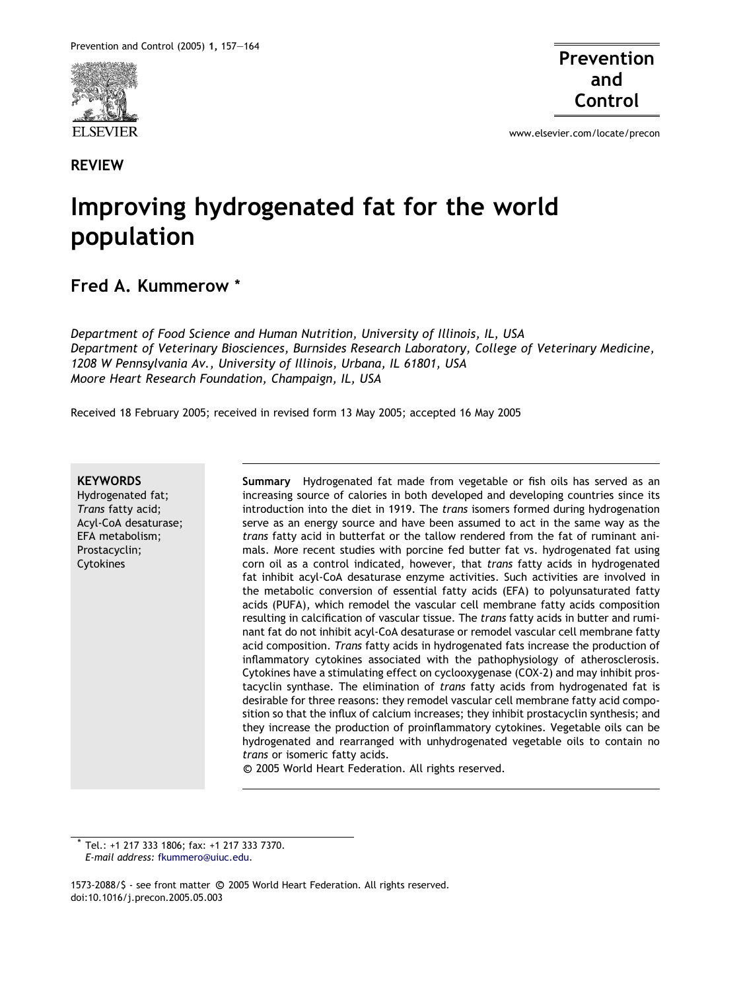

REVIEW

Prevention and Control

www.elsevier.com/locate/precon

# Improving hydrogenated fat for the world population

## Fred A. Kummerow \*

Department of Food Science and Human Nutrition, University of Illinois, IL, USA Department of Veterinary Biosciences, Burnsides Research Laboratory, College of Veterinary Medicine, 1208 W Pennsylvania Av., University of Illinois, Urbana, IL 61801, USA Moore Heart Research Foundation, Champaign, IL, USA

Received 18 February 2005; received in revised form 13 May 2005; accepted 16 May 2005

#### **KEYWORDS**

Hydrogenated fat; Trans fatty acid; Acyl-CoA desaturase; EFA metabolism; Prostacyclin; Cytokines

Summary Hydrogenated fat made from vegetable or fish oils has served as an increasing source of calories in both developed and developing countries since its introduction into the diet in 1919. The trans isomers formed during hydrogenation serve as an energy source and have been assumed to act in the same way as the trans fatty acid in butterfat or the tallow rendered from the fat of ruminant animals. More recent studies with porcine fed butter fat vs. hydrogenated fat using corn oil as a control indicated, however, that *trans* fatty acids in hydrogenated fat inhibit acyl-CoA desaturase enzyme activities. Such activities are involved in the metabolic conversion of essential fatty acids (EFA) to polyunsaturated fatty acids (PUFA), which remodel the vascular cell membrane fatty acids composition resulting in calcification of vascular tissue. The trans fatty acids in butter and ruminant fat do not inhibit acyl-CoA desaturase or remodel vascular cell membrane fatty acid composition. Trans fatty acids in hydrogenated fats increase the production of inflammatory cytokines associated with the pathophysiology of atherosclerosis. Cytokines have a stimulating effect on cyclooxygenase (COX-2) and may inhibit prostacyclin synthase. The elimination of trans fatty acids from hydrogenated fat is desirable for three reasons: they remodel vascular cell membrane fatty acid composition so that the influx of calcium increases; they inhibit prostacyclin synthesis; and they increase the production of proinflammatory cytokines. Vegetable oils can be hydrogenated and rearranged with unhydrogenated vegetable oils to contain no trans or isomeric fatty acids.

<sup>c</sup> 2005 World Heart Federation. All rights reserved.

Tel.: +1 217 333 1806; fax: +1 217 333 7370. E-mail address: [fkummero@uiuc.edu.](mailto:fkummero@uiuc.edu)

1573-2088/\$ - see front matter © 2005 World Heart Federation. All rights reserved. doi:10.1016/j.precon.2005.05.003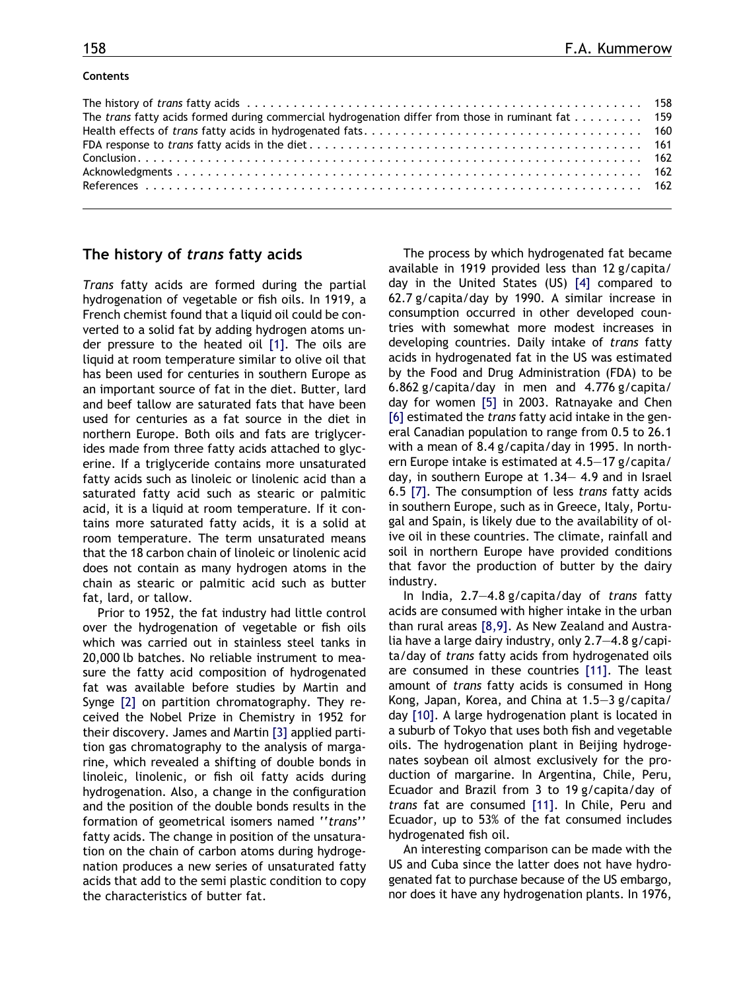#### Contents

| The trans fatty acids formed during commercial hydrogenation differ from those in ruminant fat 159 |  |
|----------------------------------------------------------------------------------------------------|--|
|                                                                                                    |  |
|                                                                                                    |  |
|                                                                                                    |  |
|                                                                                                    |  |
|                                                                                                    |  |
|                                                                                                    |  |

#### The history of trans fatty acids

Trans fatty acids are formed during the partial hydrogenation of vegetable or fish oils. In 1919, a French chemist found that a liquid oil could be converted to a solid fat by adding hydrogen atoms under pressure to the heated oil [\[1\]](#page-5-0). The oils are liquid at room temperature similar to olive oil that has been used for centuries in southern Europe as an important source of fat in the diet. Butter, lard and beef tallow are saturated fats that have been used for centuries as a fat source in the diet in northern Europe. Both oils and fats are triglycerides made from three fatty acids attached to glycerine. If a triglyceride contains more unsaturated fatty acids such as linoleic or linolenic acid than a saturated fatty acid such as stearic or palmitic acid, it is a liquid at room temperature. If it contains more saturated fatty acids, it is a solid at room temperature. The term unsaturated means that the 18 carbon chain of linoleic or linolenic acid does not contain as many hydrogen atoms in the chain as stearic or palmitic acid such as butter fat, lard, or tallow.

Prior to 1952, the fat industry had little control over the hydrogenation of vegetable or fish oils which was carried out in stainless steel tanks in 20,000 lb batches. No reliable instrument to measure the fatty acid composition of hydrogenated fat was available before studies by Martin and Synge [\[2\]](#page-5-0) on partition chromatography. They received the Nobel Prize in Chemistry in 1952 for their discovery. James and Martin [\[3\]](#page-5-0) applied partition gas chromatography to the analysis of margarine, which revealed a shifting of double bonds in linoleic, linolenic, or fish oil fatty acids during hydrogenation. Also, a change in the configuration and the position of the double bonds results in the formation of geometrical isomers named ''trans'' fatty acids. The change in position of the unsaturation on the chain of carbon atoms during hydrogenation produces a new series of unsaturated fatty acids that add to the semi plastic condition to copy the characteristics of butter fat.

The process by which hydrogenated fat became available in 1919 provided less than 12 g/capita/ day in the United States (US) [\[4\]](#page-5-0) compared to 62.7 g/capita/day by 1990. A similar increase in consumption occurred in other developed countries with somewhat more modest increases in developing countries. Daily intake of trans fatty acids in hydrogenated fat in the US was estimated by the Food and Drug Administration (FDA) to be 6.862 g/capita/day in men and 4.776 g/capita/ day for women [\[5\]](#page-5-0) in 2003. Ratnayake and Chen [\[6\]](#page-5-0) estimated the trans fatty acid intake in the general Canadian population to range from 0.5 to 26.1 with a mean of 8.4 g/capita/day in 1995. In northern Europe intake is estimated at 4.5–17 g/capita/ day, in southern Europe at 1.34– 4.9 and in Israel 6.5 [\[7\].](#page-5-0) The consumption of less trans fatty acids in southern Europe, such as in Greece, Italy, Portugal and Spain, is likely due to the availability of olive oil in these countries. The climate, rainfall and soil in northern Europe have provided conditions that favor the production of butter by the dairy industry.

In India, 2.7–4.8 g/capita/day of trans fatty acids are consumed with higher intake in the urban than rural areas [\[8,9\].](#page-5-0) As New Zealand and Australia have a large dairy industry, only 2.7–4.8 g/capita/day of trans fatty acids from hydrogenated oils are consumed in these countries [\[11\].](#page-5-0) The least amount of trans fatty acids is consumed in Hong Kong, Japan, Korea, and China at 1.5–3 g/capita/ day [\[10\]](#page-5-0). A large hydrogenation plant is located in a suburb of Tokyo that uses both fish and vegetable oils. The hydrogenation plant in Beijing hydrogenates soybean oil almost exclusively for the production of margarine. In Argentina, Chile, Peru, Ecuador and Brazil from 3 to 19 g/capita/day of trans fat are consumed [\[11\]](#page-5-0). In Chile, Peru and Ecuador, up to 53% of the fat consumed includes hydrogenated fish oil.

An interesting comparison can be made with the US and Cuba since the latter does not have hydrogenated fat to purchase because of the US embargo, nor does it have any hydrogenation plants. In 1976,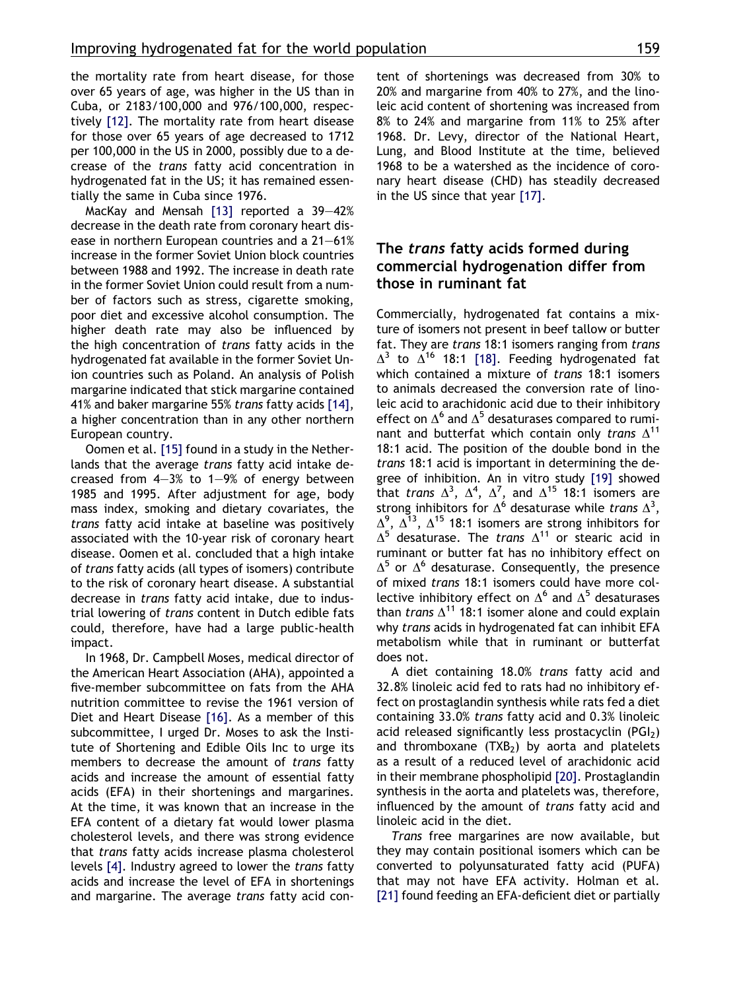the mortality rate from heart disease, for those over 65 years of age, was higher in the US than in Cuba, or 2183/100,000 and 976/100,000, respectively [\[12\]](#page-5-0). The mortality rate from heart disease for those over 65 years of age decreased to 1712 per 100,000 in the US in 2000, possibly due to a decrease of the trans fatty acid concentration in hydrogenated fat in the US; it has remained essentially the same in Cuba since 1976.

MacKay and Mensah [\[13\]](#page-5-0) reported a 39–42% decrease in the death rate from coronary heart disease in northern European countries and a 21–61% increase in the former Soviet Union block countries between 1988 and 1992. The increase in death rate in the former Soviet Union could result from a number of factors such as stress, cigarette smoking, poor diet and excessive alcohol consumption. The higher death rate may also be influenced by the high concentration of trans fatty acids in the hydrogenated fat available in the former Soviet Union countries such as Poland. An analysis of Polish margarine indicated that stick margarine contained 41% and baker margarine 55% trans fatty acids [\[14\]](#page-5-0), a higher concentration than in any other northern European country.

Oomen et al. [\[15\]](#page-5-0) found in a study in the Netherlands that the average trans fatty acid intake decreased from 4–3% to 1–9% of energy between 1985 and 1995. After adjustment for age, body mass index, smoking and dietary covariates, the trans fatty acid intake at baseline was positively associated with the 10-year risk of coronary heart disease. Oomen et al. concluded that a high intake of trans fatty acids (all types of isomers) contribute to the risk of coronary heart disease. A substantial decrease in trans fatty acid intake, due to industrial lowering of trans content in Dutch edible fats could, therefore, have had a large public-health impact.

In 1968, Dr. Campbell Moses, medical director of the American Heart Association (AHA), appointed a five-member subcommittee on fats from the AHA nutrition committee to revise the 1961 version of Diet and Heart Disease [\[16\].](#page-5-0) As a member of this subcommittee, I urged Dr. Moses to ask the Institute of Shortening and Edible Oils Inc to urge its members to decrease the amount of *trans* fatty acids and increase the amount of essential fatty acids (EFA) in their shortenings and margarines. At the time, it was known that an increase in the EFA content of a dietary fat would lower plasma cholesterol levels, and there was strong evidence that trans fatty acids increase plasma cholesterol levels [\[4\].](#page-5-0) Industry agreed to lower the trans fatty acids and increase the level of EFA in shortenings and margarine. The average trans fatty acid content of shortenings was decreased from 30% to 20% and margarine from 40% to 27%, and the linoleic acid content of shortening was increased from 8% to 24% and margarine from 11% to 25% after 1968. Dr. Levy, director of the National Heart, Lung, and Blood Institute at the time, believed 1968 to be a watershed as the incidence of coronary heart disease (CHD) has steadily decreased in the US since that year [\[17\]](#page-5-0).

## The trans fatty acids formed during commercial hydrogenation differ from those in ruminant fat

Commercially, hydrogenated fat contains a mixture of isomers not present in beef tallow or butter fat. They are trans 18:1 isomers ranging from trans  $\Delta^3$  to  $\Delta^{16}$  18:1 [\[18\].](#page-6-0) Feeding hydrogenated fat which contained a mixture of *trans* 18:1 isomers to animals decreased the conversion rate of linoleic acid to arachidonic acid due to their inhibitory effect on  $\Delta^6$  and  $\Delta^5$  desaturases compared to ruminant and butterfat which contain only trans  $\Delta^{11}$ 18:1 acid. The position of the double bond in the trans 18:1 acid is important in determining the degree of inhibition. An in vitro study [\[19\]](#page-6-0) showed that trans  $\Delta^3$ ,  $\Delta^4$ ,  $\Delta^7$ , and  $\Delta^{15}$  18:1 isomers are strong inhibitors for  $\Delta^6$  desaturase while trans  $\Delta^3$ ,  $\Delta^9$ ,  $\bar{\Delta^{13}}$ ,  $\Delta^{15}$  18:1 isomers are strong inhibitors for  $\Delta^{5}$  desaturase. The *trans*  $\Delta^{11}$  or stearic acid in ruminant or butter fat has no inhibitory effect on  $\Delta^5$  or  $\Delta^6$  desaturase. Consequently, the presence of mixed trans 18:1 isomers could have more collective inhibitory effect on  $\Delta^6$  and  $\Delta^5$  desaturases than *trans*  $\Lambda^{11}$  18:1 isomer alone and could explain why *trans* acids in hydrogenated fat can inhibit EFA metabolism while that in ruminant or butterfat does not.

A diet containing 18.0% trans fatty acid and 32.8% linoleic acid fed to rats had no inhibitory effect on prostaglandin synthesis while rats fed a diet containing 33.0% trans fatty acid and 0.3% linoleic acid released significantly less prostacyclin  $(PGI<sub>2</sub>)$ and thromboxane  $(TXB<sub>2</sub>)$  by aorta and platelets as a result of a reduced level of arachidonic acid in their membrane phospholipid [\[20\].](#page-6-0) Prostaglandin synthesis in the aorta and platelets was, therefore, influenced by the amount of trans fatty acid and linoleic acid in the diet.

Trans free margarines are now available, but they may contain positional isomers which can be converted to polyunsaturated fatty acid (PUFA) that may not have EFA activity. Holman et al. [\[21\]](#page-6-0) found feeding an EFA-deficient diet or partially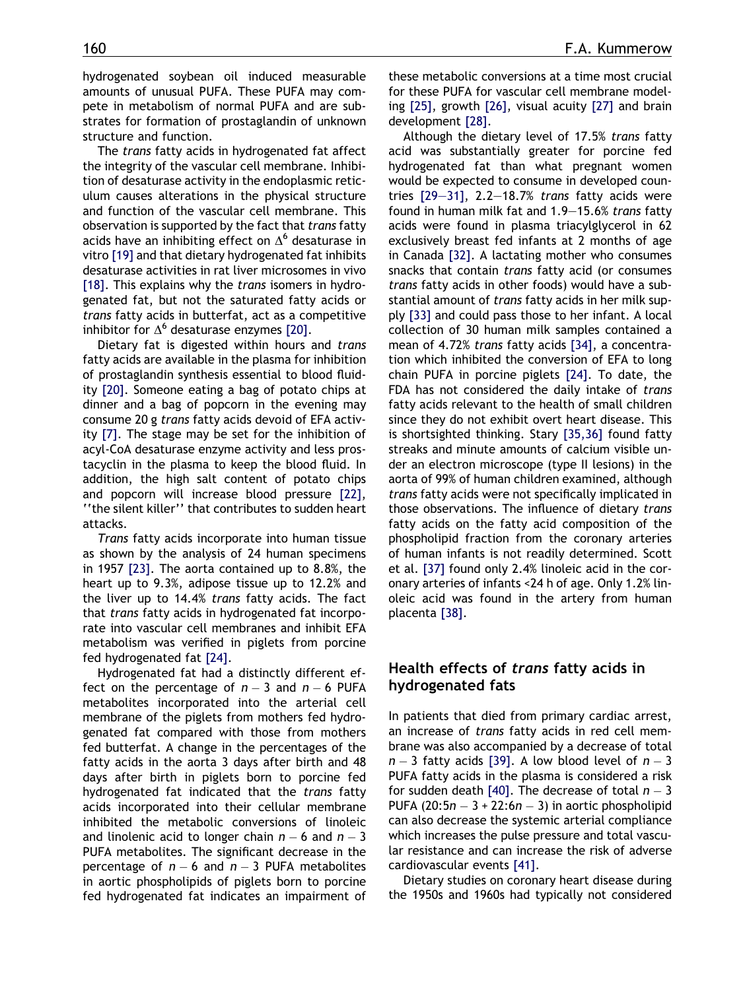hydrogenated soybean oil induced measurable amounts of unusual PUFA. These PUFA may compete in metabolism of normal PUFA and are substrates for formation of prostaglandin of unknown structure and function.

The trans fatty acids in hydrogenated fat affect the integrity of the vascular cell membrane. Inhibition of desaturase activity in the endoplasmic reticulum causes alterations in the physical structure and function of the vascular cell membrane. This observation is supported by the fact that trans fatty acids have an inhibiting effect on  $\Delta^6$  desaturase in vitro [\[19\]](#page-6-0) and that dietary hydrogenated fat inhibits desaturase activities in rat liver microsomes in vivo [\[18\]](#page-6-0). This explains why the *trans* isomers in hydrogenated fat, but not the saturated fatty acids or trans fatty acids in butterfat, act as a competitive inhibitor for  $\Delta^6$  desaturase enzymes [\[20\].](#page-6-0)

Dietary fat is digested within hours and trans fatty acids are available in the plasma for inhibition of prostaglandin synthesis essential to blood fluidity [\[20\].](#page-6-0) Someone eating a bag of potato chips at dinner and a bag of popcorn in the evening may consume 20 g trans fatty acids devoid of EFA activity [\[7\]](#page-5-0). The stage may be set for the inhibition of acyl-CoA desaturase enzyme activity and less prostacyclin in the plasma to keep the blood fluid. In addition, the high salt content of potato chips and popcorn will increase blood pressure [\[22\],](#page-6-0) ''the silent killer'' that contributes to sudden heart attacks.

Trans fatty acids incorporate into human tissue as shown by the analysis of 24 human specimens in 1957 [\[23\].](#page-6-0) The aorta contained up to 8.8%, the heart up to 9.3%, adipose tissue up to 12.2% and the liver up to 14.4% trans fatty acids. The fact that trans fatty acids in hydrogenated fat incorporate into vascular cell membranes and inhibit EFA metabolism was verified in piglets from porcine fed hydrogenated fat [\[24\]](#page-6-0).

Hydrogenated fat had a distinctly different effect on the percentage of  $n-3$  and  $n-6$  PUFA metabolites incorporated into the arterial cell membrane of the piglets from mothers fed hydrogenated fat compared with those from mothers fed butterfat. A change in the percentages of the fatty acids in the aorta 3 days after birth and 48 days after birth in piglets born to porcine fed hydrogenated fat indicated that the trans fatty acids incorporated into their cellular membrane inhibited the metabolic conversions of linoleic and linolenic acid to longer chain  $n-6$  and  $n-3$ PUFA metabolites. The significant decrease in the percentage of  $n-6$  and  $n-3$  PUFA metabolites in aortic phospholipids of piglets born to porcine fed hydrogenated fat indicates an impairment of these metabolic conversions at a time most crucial for these PUFA for vascular cell membrane modeling [\[25\]](#page-6-0), growth [\[26\]](#page-6-0), visual acuity [\[27\]](#page-6-0) and brain development [\[28\].](#page-6-0)

Although the dietary level of 17.5% trans fatty acid was substantially greater for porcine fed hydrogenated fat than what pregnant women would be expected to consume in developed countries  $[29-31]$ , 2.2-18.7% trans fatty acids were found in human milk fat and 1.9–15.6% trans fatty acids were found in plasma triacylglycerol in 62 exclusively breast fed infants at 2 months of age in Canada [\[32\]](#page-6-0). A lactating mother who consumes snacks that contain trans fatty acid (or consumes trans fatty acids in other foods) would have a substantial amount of *trans* fatty acids in her milk supply [\[33\]](#page-6-0) and could pass those to her infant. A local collection of 30 human milk samples contained a mean of 4.72% trans fatty acids [\[34\],](#page-6-0) a concentration which inhibited the conversion of EFA to long chain PUFA in porcine piglets [\[24\]](#page-6-0). To date, the FDA has not considered the daily intake of trans fatty acids relevant to the health of small children since they do not exhibit overt heart disease. This is shortsighted thinking. Stary [\[35,36\]](#page-6-0) found fatty streaks and minute amounts of calcium visible under an electron microscope (type II lesions) in the aorta of 99% of human children examined, although trans fatty acids were not specifically implicated in those observations. The influence of dietary trans fatty acids on the fatty acid composition of the phospholipid fraction from the coronary arteries of human infants is not readily determined. Scott et al. [\[37\]](#page-6-0) found only 2.4% linoleic acid in the coronary arteries of infants <24 h of age. Only 1.2% linoleic acid was found in the artery from human placenta [\[38\].](#page-6-0)

## Health effects of trans fatty acids in hydrogenated fats

In patients that died from primary cardiac arrest, an increase of trans fatty acids in red cell membrane was also accompanied by a decrease of total  $n-3$  fatty acids [\[39\]](#page-6-0). A low blood level of  $n-3$ PUFA fatty acids in the plasma is considered a risk for sudden death [\[40\].](#page-6-0) The decrease of total  $n-3$ PUFA (20:5 $n-3+22$ :6 $n-3$ ) in aortic phospholipid can also decrease the systemic arterial compliance which increases the pulse pressure and total vascular resistance and can increase the risk of adverse cardiovascular events [\[41\]](#page-6-0).

Dietary studies on coronary heart disease during the 1950s and 1960s had typically not considered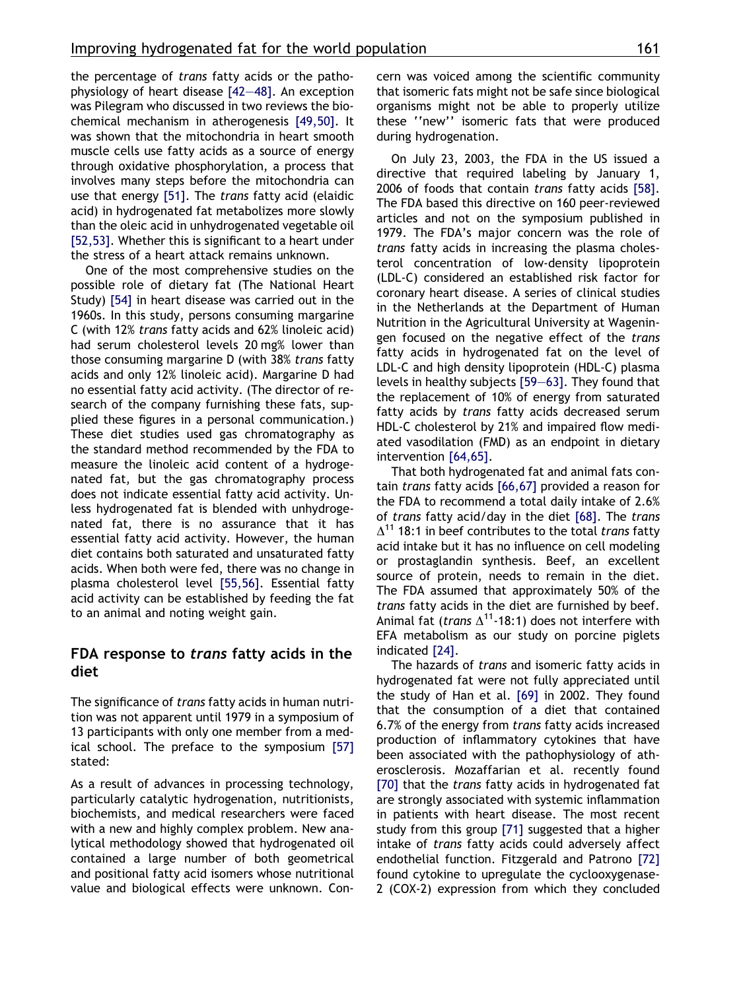the percentage of trans fatty acids or the pathophysiology of heart disease [\[42–48\].](#page-6-0) An exception was Pilegram who discussed in two reviews the biochemical mechanism in atherogenesis [\[49,50\]](#page-6-0). It was shown that the mitochondria in heart smooth muscle cells use fatty acids as a source of energy through oxidative phosphorylation, a process that involves many steps before the mitochondria can use that energy [\[51\].](#page-6-0) The trans fatty acid (elaidic acid) in hydrogenated fat metabolizes more slowly than the oleic acid in unhydrogenated vegetable oil [\[52,53\]](#page-6-0). Whether this is significant to a heart under the stress of a heart attack remains unknown.

One of the most comprehensive studies on the possible role of dietary fat (The National Heart Study) [\[54\]](#page-6-0) in heart disease was carried out in the 1960s. In this study, persons consuming margarine C (with 12% trans fatty acids and 62% linoleic acid) had serum cholesterol levels 20 mg% lower than those consuming margarine D (with 38% trans fatty acids and only 12% linoleic acid). Margarine D had no essential fatty acid activity. (The director of research of the company furnishing these fats, supplied these figures in a personal communication.) These diet studies used gas chromatography as the standard method recommended by the FDA to measure the linoleic acid content of a hydrogenated fat, but the gas chromatography process does not indicate essential fatty acid activity. Unless hydrogenated fat is blended with unhydrogenated fat, there is no assurance that it has essential fatty acid activity. However, the human diet contains both saturated and unsaturated fatty acids. When both were fed, there was no change in plasma cholesterol level [\[55,56\].](#page-6-0) Essential fatty acid activity can be established by feeding the fat to an animal and noting weight gain.

## FDA response to trans fatty acids in the diet

The significance of trans fatty acids in human nutrition was not apparent until 1979 in a symposium of 13 participants with only one member from a medical school. The preface to the symposium [\[57\]](#page-6-0) stated:

As a result of advances in processing technology, particularly catalytic hydrogenation, nutritionists, biochemists, and medical researchers were faced with a new and highly complex problem. New analytical methodology showed that hydrogenated oil contained a large number of both geometrical and positional fatty acid isomers whose nutritional value and biological effects were unknown. Concern was voiced among the scientific community that isomeric fats might not be safe since biological organisms might not be able to properly utilize these ''new'' isomeric fats that were produced during hydrogenation.

On July 23, 2003, the FDA in the US issued a directive that required labeling by January 1, 2006 of foods that contain trans fatty acids [\[58\]](#page-6-0). The FDA based this directive on 160 peer-reviewed articles and not on the symposium published in 1979. The FDA's major concern was the role of trans fatty acids in increasing the plasma cholesterol concentration of low-density lipoprotein (LDL-C) considered an established risk factor for coronary heart disease. A series of clinical studies in the Netherlands at the Department of Human Nutrition in the Agricultural University at Wageningen focused on the negative effect of the trans fatty acids in hydrogenated fat on the level of LDL-C and high density lipoprotein (HDL-C) plasma levels in healthy subjects [\[59–63\].](#page-7-0) They found that the replacement of 10% of energy from saturated fatty acids by trans fatty acids decreased serum HDL-C cholesterol by 21% and impaired flow mediated vasodilation (FMD) as an endpoint in dietary intervention [\[64,65\].](#page-7-0)

That both hydrogenated fat and animal fats contain trans fatty acids [\[66,67\]](#page-7-0) provided a reason for the FDA to recommend a total daily intake of 2.6% of trans fatty acid/day in the diet [\[68\]](#page-7-0). The trans  $\Delta^{11}$  18:1 in beef contributes to the total trans fatty acid intake but it has no influence on cell modeling or prostaglandin synthesis. Beef, an excellent source of protein, needs to remain in the diet. The FDA assumed that approximately 50% of the trans fatty acids in the diet are furnished by beef. Animal fat (*trans*  $\Delta^{11}$ -18:1) does not interfere with EFA metabolism as our study on porcine piglets indicated [\[24\]](#page-6-0).

The hazards of trans and isomeric fatty acids in hydrogenated fat were not fully appreciated until the study of Han et al. [\[69\]](#page-7-0) in 2002. They found that the consumption of a diet that contained 6.7% of the energy from trans fatty acids increased production of inflammatory cytokines that have been associated with the pathophysiology of atherosclerosis. Mozaffarian et al. recently found [\[70\]](#page-7-0) that the *trans* fatty acids in hydrogenated fat are strongly associated with systemic inflammation in patients with heart disease. The most recent study from this group [\[71\]](#page-7-0) suggested that a higher intake of trans fatty acids could adversely affect endothelial function. Fitzgerald and Patrono [\[72\]](#page-7-0) found cytokine to upregulate the cyclooxygenase-2 (COX-2) expression from which they concluded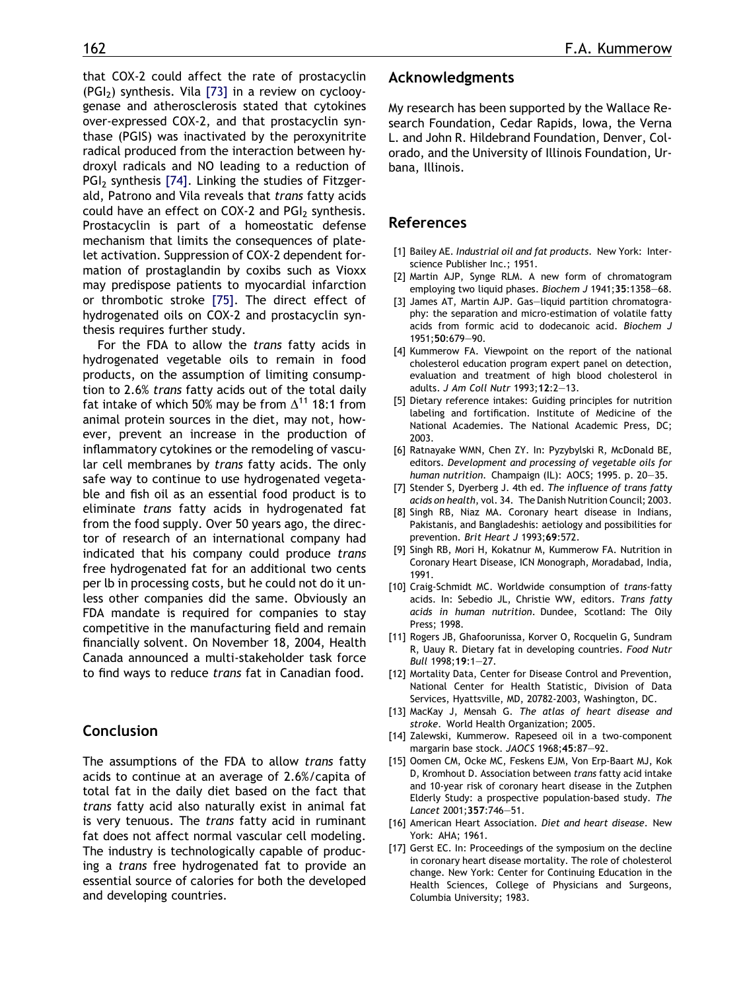<span id="page-5-0"></span>that COX-2 could affect the rate of prostacyclin  $(PGI<sub>2</sub>)$  synthesis. Vila [\[73\]](#page-7-0) in a review on cyclooygenase and atherosclerosis stated that cytokines over-expressed COX-2, and that prostacyclin synthase (PGIS) was inactivated by the peroxynitrite radical produced from the interaction between hydroxyl radicals and NO leading to a reduction of PGI<sub>2</sub> synthesis [\[74\]](#page-7-0). Linking the studies of Fitzgerald, Patrono and Vila reveals that trans fatty acids could have an effect on COX-2 and  $PGI<sub>2</sub>$  synthesis. Prostacyclin is part of a homeostatic defense mechanism that limits the consequences of platelet activation. Suppression of COX-2 dependent formation of prostaglandin by coxibs such as Vioxx may predispose patients to myocardial infarction or thrombotic stroke [\[75\].](#page-7-0) The direct effect of hydrogenated oils on COX-2 and prostacyclin synthesis requires further study.

For the FDA to allow the trans fatty acids in hydrogenated vegetable oils to remain in food products, on the assumption of limiting consumption to 2.6% trans fatty acids out of the total daily fat intake of which 50% may be from  $\Delta^{11}$  18:1 from animal protein sources in the diet, may not, however, prevent an increase in the production of inflammatory cytokines or the remodeling of vascular cell membranes by trans fatty acids. The only safe way to continue to use hydrogenated vegetable and fish oil as an essential food product is to eliminate trans fatty acids in hydrogenated fat from the food supply. Over 50 years ago, the director of research of an international company had indicated that his company could produce trans free hydrogenated fat for an additional two cents per lb in processing costs, but he could not do it unless other companies did the same. Obviously an FDA mandate is required for companies to stay competitive in the manufacturing field and remain financially solvent. On November 18, 2004, Health Canada announced a multi-stakeholder task force to find ways to reduce trans fat in Canadian food.

## Conclusion

The assumptions of the FDA to allow trans fatty acids to continue at an average of 2.6%/capita of total fat in the daily diet based on the fact that trans fatty acid also naturally exist in animal fat is very tenuous. The trans fatty acid in ruminant fat does not affect normal vascular cell modeling. The industry is technologically capable of producing a trans free hydrogenated fat to provide an essential source of calories for both the developed and developing countries.

#### Acknowledgments

My research has been supported by the Wallace Research Foundation, Cedar Rapids, Iowa, the Verna L. and John R. Hildebrand Foundation, Denver, Colorado, and the University of Illinois Foundation, Urbana, Illinois.

#### References

- [1] Bailey AE. Industrial oil and fat products. New York: Interscience Publisher Inc.; 1951.
- [2] Martin AJP, Synge RLM. A new form of chromatogram employing two liquid phases. Biochem J 1941;35:1358-68.
- [3] James AT, Martin AJP. Gas–liquid partition chromatography: the separation and micro-estimation of volatile fatty acids from formic acid to dodecanoic acid. Biochem J 1951;50:679–90.
- [4] Kummerow FA. Viewpoint on the report of the national cholesterol education program expert panel on detection, evaluation and treatment of high blood cholesterol in adults. J Am Coll Nutr 1993;12:2–13.
- [5] Dietary reference intakes: Guiding principles for nutrition labeling and fortification. Institute of Medicine of the National Academies. The National Academic Press, DC; 2003.
- [6] Ratnayake WMN, Chen ZY. In: Pyzybylski R, McDonald BE, editors. Development and processing of vegetable oils for human nutrition. Champaign (IL): AOCS; 1995. p. 20–35.
- [7] Stender S, Dyerberg J. 4th ed. The influence of trans fatty acids on health, vol. 34. The Danish Nutrition Council; 2003.
- [8] Singh RB, Niaz MA. Coronary heart disease in Indians, Pakistanis, and Bangladeshis: aetiology and possibilities for prevention. Brit Heart J 1993;69:572.
- [9] Singh RB, Mori H, Kokatnur M, Kummerow FA. Nutrition in Coronary Heart Disease, ICN Monograph, Moradabad, India, 1991.
- [10] Craig-Schmidt MC. Worldwide consumption of trans-fatty acids. In: Sebedio JL, Christie WW, editors. Trans fatty acids in human nutrition. Dundee, Scotland: The Oily Press; 1998.
- [11] Rogers JB, Ghafoorunissa, Korver O, Rocquelin G, Sundram R, Uauy R. Dietary fat in developing countries. Food Nutr Bull 1998;19:1–27.
- [12] Mortality Data, Center for Disease Control and Prevention, National Center for Health Statistic, Division of Data Services, Hyattsville, MD, 20782-2003, Washington, DC.
- [13] MacKay J, Mensah G. The atlas of heart disease and stroke. World Health Organization; 2005.
- [14] Zalewski, Kummerow. Rapeseed oil in a two-component margarin base stock. JAOCS 1968;45:87–92.
- [15] Oomen CM, Ocke MC, Feskens EJM, Von Erp-Baart MJ, Kok D, Kromhout D. Association between trans fatty acid intake and 10-year risk of coronary heart disease in the Zutphen Elderly Study: a prospective population-based study. The Lancet 2001;357:746–51.
- [16] American Heart Association. Diet and heart disease. New York: AHA; 1961.
- [17] Gerst EC. In: Proceedings of the symposium on the decline in coronary heart disease mortality. The role of cholesterol change. New York: Center for Continuing Education in the Health Sciences, College of Physicians and Surgeons, Columbia University; 1983.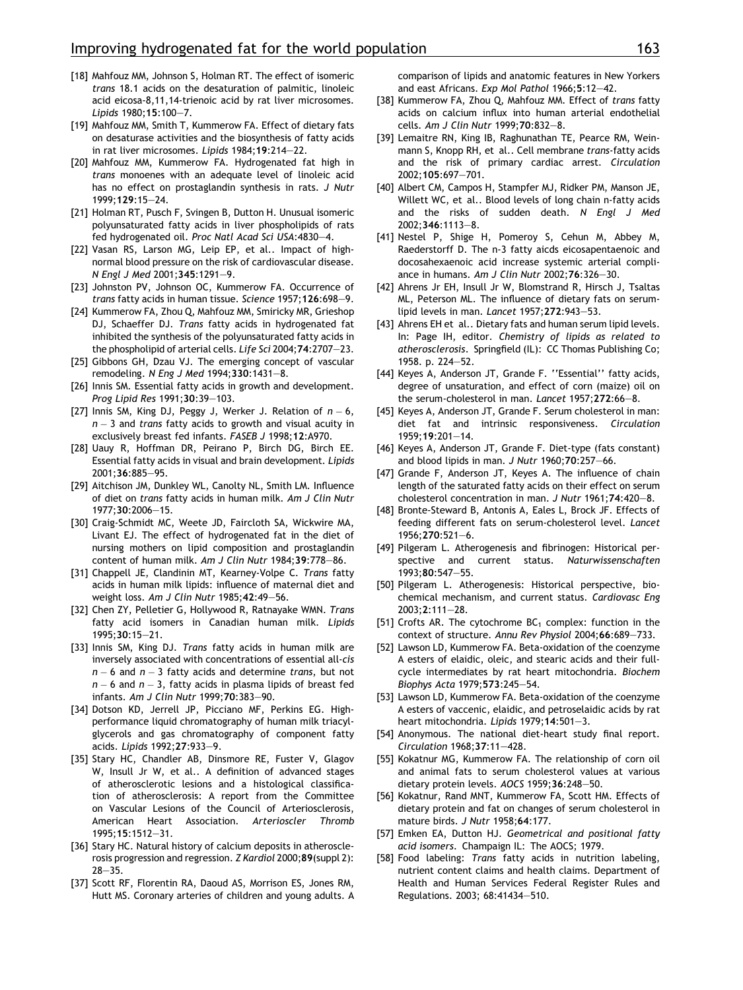- <span id="page-6-0"></span>[18] Mahfouz MM, Johnson S, Holman RT. The effect of isomeric trans 18.1 acids on the desaturation of palmitic, linoleic acid eicosa-8,11,14-trienoic acid by rat liver microsomes. Lipids 1980;15:100–7.
- [19] Mahfouz MM, Smith T, Kummerow FA. Effect of dietary fats on desaturase activities and the biosynthesis of fatty acids in rat liver microsomes. Lipids 1984;19:214–22.
- [20] Mahfouz MM, Kummerow FA. Hydrogenated fat high in trans monoenes with an adequate level of linoleic acid has no effect on prostaglandin synthesis in rats. J Nutr 1999;129:15–24.
- [21] Holman RT, Pusch F, Svingen B, Dutton H. Unusual isomeric polyunsaturated fatty acids in liver phospholipids of rats fed hydrogenated oil. Proc Natl Acad Sci USA:4830–4.
- [22] Vasan RS, Larson MG, Leip EP, et al.. Impact of highnormal blood pressure on the risk of cardiovascular disease. N Engl J Med 2001;345:1291–9.
- [23] Johnston PV, Johnson OC, Kummerow FA. Occurrence of trans fatty acids in human tissue. Science 1957;126:698–9.
- [24] Kummerow FA, Zhou Q, Mahfouz MM, Smiricky MR, Grieshop DJ, Schaeffer DJ. Trans fatty acids in hydrogenated fat inhibited the synthesis of the polyunsaturated fatty acids in the phospholipid of arterial cells. Life Sci 2004;74:2707–23.
- [25] Gibbons GH, Dzau VJ. The emerging concept of vascular remodeling. N Eng J Med 1994;330:1431–8.
- [26] Innis SM. Essential fatty acids in growth and development. Prog Lipid Res 1991;30:39–103.
- [27] Innis SM, King DJ, Peggy J, Werker J. Relation of  $n-6$ ,  $n-3$  and *trans* fatty acids to growth and visual acuity in exclusively breast fed infants. FASEB J 1998;12:A970.
- [28] Uauy R, Hoffman DR, Peirano P, Birch DG, Birch EE. Essential fatty acids in visual and brain development. Lipids 2001;36:885–95.
- [29] Aitchison JM, Dunkley WL, Canolty NL, Smith LM, Influence of diet on trans fatty acids in human milk. Am J Clin Nutr 1977;30:2006–15.
- [30] Craig-Schmidt MC, Weete JD, Faircloth SA, Wickwire MA, Livant EJ. The effect of hydrogenated fat in the diet of nursing mothers on lipid composition and prostaglandin content of human milk. Am J Clin Nutr 1984;39:778–86.
- [31] Chappell JE, Clandinin MT, Kearney-Volpe C. Trans fatty acids in human milk lipids: influence of maternal diet and weight loss. Am J Clin Nutr 1985;42:49–56.
- [32] Chen ZY, Pelletier G, Hollywood R, Ratnayake WMN. Trans fatty acid isomers in Canadian human milk. Lipids 1995;30:15–21.
- [33] Innis SM, King DJ. Trans fatty acids in human milk are inversely associated with concentrations of essential all-cis  $n-6$  and  $n-3$  fatty acids and determine  $trans,$  but not  $n-6$  and  $n-3,$  fatty acids in plasma lipids of breast fed infants. Am J Clin Nutr 1999;70:383–90.
- [34] Dotson KD, Jerrell JP, Picciano MF, Perkins EG. Highperformance liquid chromatography of human milk triacylglycerols and gas chromatography of component fatty acids. Lipids 1992;27:933–9.
- [35] Stary HC, Chandler AB, Dinsmore RE, Fuster V, Glagov W, Insull Jr W, et al.. A definition of advanced stages of atherosclerotic lesions and a histological classification of atherosclerosis: A report from the Committee on Vascular Lesions of the Council of Arteriosclerosis, American Heart Association. Arterioscler Thromb 1995;15:1512–31.
- [36] Stary HC. Natural history of calcium deposits in atherosclerosis progression and regression. Z Kardiol 2000;89(suppl 2): 28–35.
- [37] Scott RF, Florentin RA, Daoud AS, Morrison ES, Jones RM, Hutt MS. Coronary arteries of children and young adults. A

comparison of lipids and anatomic features in New Yorkers and east Africans. Exp Mol Pathol 1966;5:12–42.

- [38] Kummerow FA, Zhou Q, Mahfouz MM. Effect of trans fatty acids on calcium influx into human arterial endothelial cells. Am J Clin Nutr 1999;70:832–8.
- [39] Lemaitre RN, King IB, Raghunathan TE, Pearce RM, Weinmann S, Knopp RH, et al.. Cell membrane trans-fatty acids and the risk of primary cardiac arrest. Circulation 2002;105:697–701.
- [40] Albert CM, Campos H, Stampfer MJ, Ridker PM, Manson JE, Willett WC, et al.. Blood levels of long chain n-fatty acids and the risks of sudden death. N Engl J Med 2002;346:1113–8.
- [41] Nestel P, Shige H, Pomeroy S, Cehun M, Abbey M, Raederstorff D. The n-3 fatty aicds eicosapentaenoic and docosahexaenoic acid increase systemic arterial compliance in humans. Am J Clin Nutr 2002;76:326–30.
- [42] Ahrens Jr EH, Insull Jr W, Blomstrand R, Hirsch J, Tsaltas ML, Peterson ML. The influence of dietary fats on serumlipid levels in man. Lancet 1957;272:943–53.
- [43] Ahrens EH et al.. Dietary fats and human serum lipid levels. In: Page IH, editor. Chemistry of lipids as related to atherosclerosis. Springfield (IL): CC Thomas Publishing Co; 1958. p. 224–52.
- [44] Keyes A, Anderson JT, Grande F. ''Essential'' fatty acids, degree of unsaturation, and effect of corn (maize) oil on the serum-cholesterol in man. Lancet 1957;272:66–8.
- [45] Keyes A, Anderson JT, Grande F. Serum cholesterol in man: diet fat and intrinsic responsiveness. Circulation 1959;19:201–14.
- [46] Keyes A, Anderson JT, Grande F. Diet-type (fats constant) and blood lipids in man. J Nutr 1960;70:257–66.
- [47] Grande F, Anderson JT, Keyes A. The influence of chain length of the saturated fatty acids on their effect on serum cholesterol concentration in man. J Nutr 1961;74:420–8.
- [48] Bronte-Steward B, Antonis A, Eales L, Brock JF. Effects of feeding different fats on serum-cholesterol level. Lancet 1956;270:521–6.
- [49] Pilgeram L. Atherogenesis and fibrinogen: Historical perspective and current status. Naturwissenschaften 1993;80:547–55.
- [50] Pilgeram L. Atherogenesis: Historical perspective, biochemical mechanism, and current status. Cardiovasc Eng 2003;2:111–28.
- [51] Crofts AR. The cytochrome  $BC_1$  complex: function in the context of structure. Annu Rev Physiol 2004;66:689–733.
- [52] Lawson LD, Kummerow FA. Beta-oxidation of the coenzyme A esters of elaidic, oleic, and stearic acids and their fullcycle intermediates by rat heart mitochondria. Biochem Biophys Acta 1979;573:245–54.
- [53] Lawson LD, Kummerow FA. Beta-oxidation of the coenzyme A esters of vaccenic, elaidic, and petroselaidic acids by rat heart mitochondria. Lipids 1979;14:501-3.
- [54] Anonymous. The national diet-heart study final report. Circulation 1968;37:11–428.
- [55] Kokatnur MG, Kummerow FA. The relationship of corn oil and animal fats to serum cholesterol values at various dietary protein levels. AOCS 1959;36:248–50.
- [56] Kokatnur, Rand MNT, Kummerow FA, Scott HM. Effects of dietary protein and fat on changes of serum cholesterol in mature birds. J Nutr 1958;64:177.
- [57] Emken EA, Dutton HJ. Geometrical and positional fatty acid isomers. Champaign IL: The AOCS; 1979.
- [58] Food labeling: Trans fatty acids in nutrition labeling, nutrient content claims and health claims. Department of Health and Human Services Federal Register Rules and Regulations. 2003; 68:41434–510.